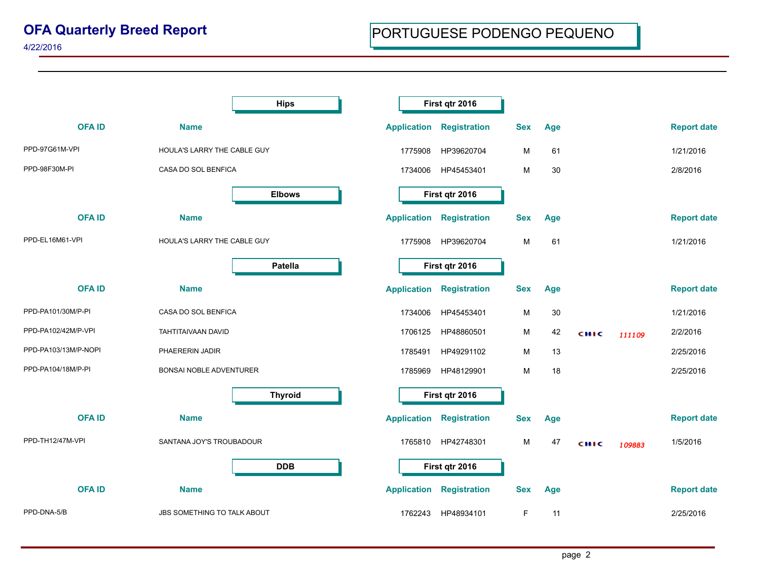|                      | <b>Hips</b>                    |                    | First qtr 2016      |                   |            |        |                    |
|----------------------|--------------------------------|--------------------|---------------------|-------------------|------------|--------|--------------------|
| <b>OFAID</b>         | <b>Name</b>                    | <b>Application</b> | <b>Registration</b> | <b>Sex</b><br>Age |            |        | <b>Report date</b> |
| PPD-97G61M-VPI       | HOULA'S LARRY THE CABLE GUY    | 1775908            | HP39620704          | M                 | 61         |        | 1/21/2016          |
| PPD-98F30M-PI        | CASA DO SOL BENFICA            | 1734006            | HP45453401          | м                 | 30         |        | 2/8/2016           |
|                      | <b>Elbows</b>                  |                    | First qtr 2016      |                   |            |        |                    |
| <b>OFAID</b>         | <b>Name</b>                    | <b>Application</b> | <b>Registration</b> | <b>Sex</b><br>Age |            |        | <b>Report date</b> |
| PPD-EL16M61-VPI      | HOULA'S LARRY THE CABLE GUY    | 1775908            | HP39620704          | м                 | 61         |        | 1/21/2016          |
|                      | Patella                        |                    | First qtr 2016      |                   |            |        |                    |
| <b>OFAID</b>         | <b>Name</b>                    | <b>Application</b> | <b>Registration</b> | <b>Sex</b><br>Age |            |        | <b>Report date</b> |
| PPD-PA101/30M/P-PI   | CASA DO SOL BENFICA            | 1734006            | HP45453401          | м                 | 30         |        | 1/21/2016          |
| PPD-PA102/42M/P-VPI  | TAHTITAIVAAN DAVID             | 1706125            | HP48860501          | м                 | 42<br>сніс | 111109 | 2/2/2016           |
| PPD-PA103/13M/P-NOPI | PHAERERIN JADIR                | 1785491            | HP49291102          | м                 | 13         |        | 2/25/2016          |
| PPD-PA104/18M/P-PI   | <b>BONSAI NOBLE ADVENTURER</b> | 1785969            | HP48129901          | М                 | 18         |        | 2/25/2016          |
|                      | <b>Thyroid</b>                 |                    | First qtr 2016      |                   |            |        |                    |
| <b>OFAID</b>         | <b>Name</b>                    | <b>Application</b> | <b>Registration</b> | <b>Sex</b><br>Age |            |        | <b>Report date</b> |
| PPD-TH12/47M-VPI     | SANTANA JOY'S TROUBADOUR       | 1765810            | HP42748301          | м                 | 47<br>сніс | 109883 | 1/5/2016           |
|                      | <b>DDB</b>                     |                    | First qtr 2016      |                   |            |        |                    |
| <b>OFAID</b>         | <b>Name</b>                    | <b>Application</b> | <b>Registration</b> | <b>Sex</b><br>Age |            |        | <b>Report date</b> |
| PPD-DNA-5/B          | JBS SOMETHING TO TALK ABOUT    | 1762243            | HP48934101          | F                 | 11         |        | 2/25/2016          |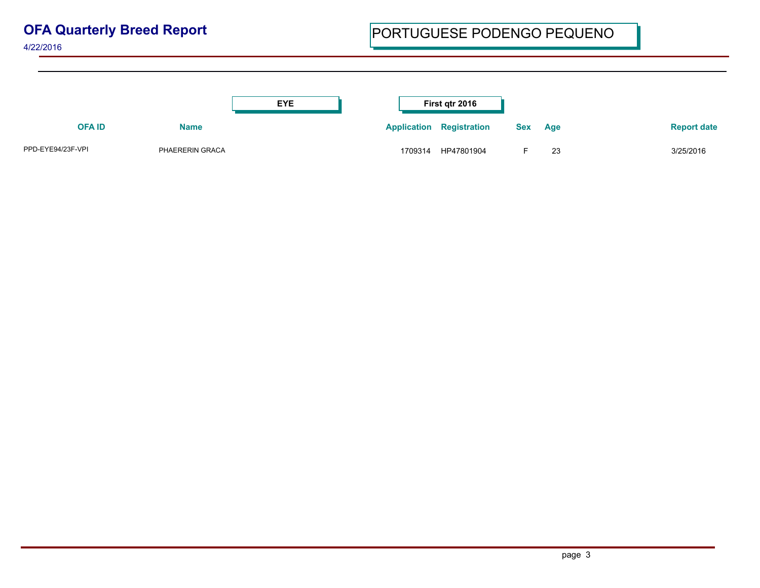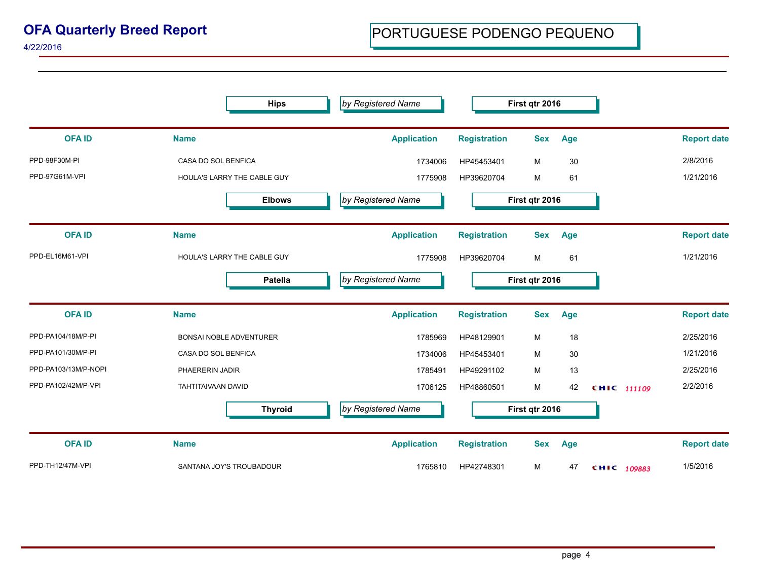